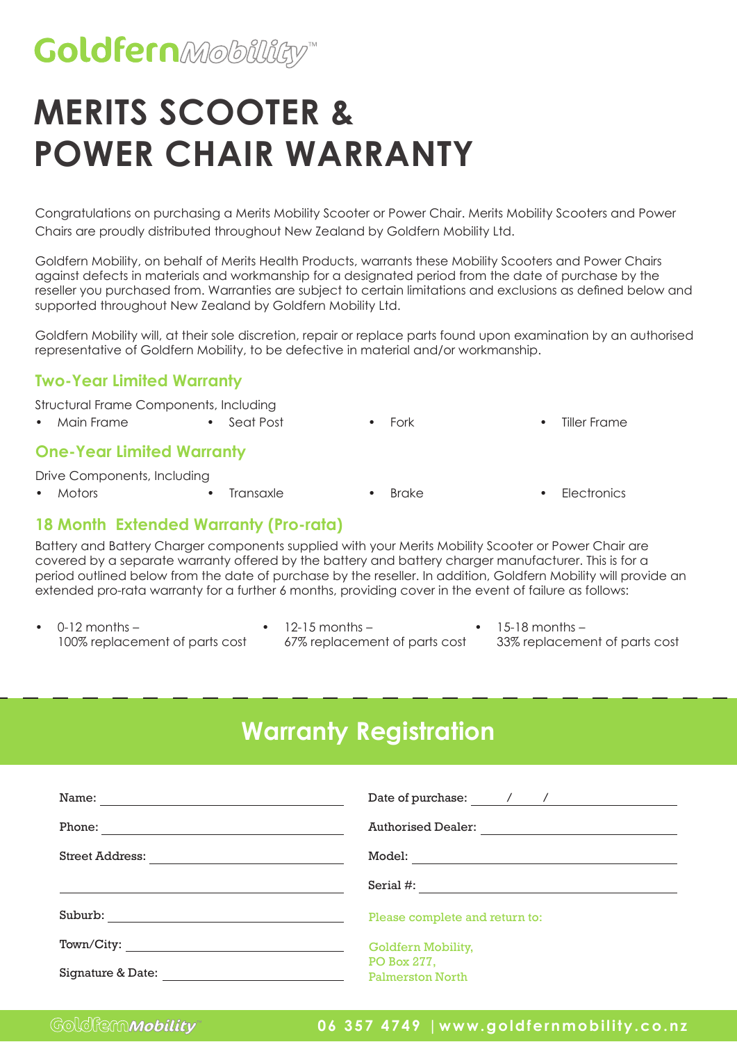## **Goldfern**Mobillity"

# **MERITS SCOOTER & POWER CHAIR WARRANTY**

Congratulations on purchasing a Merits Mobility Scooter or Power Chair. Merits Mobility Scooters and Power Chairs are proudly distributed throughout New Zealand by Goldfern Mobility Ltd.

Goldfern Mobility, on behalf of Merits Health Products, warrants these Mobility Scooters and Power Chairs against defects in materials and workmanship for a designated period from the date of purchase by the reseller you purchased from. Warranties are subject to certain limitations and exclusions as defined below and supported throughout New Zealand by Goldfern Mobility Ltd.

Goldfern Mobility will, at their sole discretion, repair or replace parts found upon examination by an authorised representative of Goldfern Mobility, to be defective in material and/or workmanship.

### **Two-Year Limited Warranty**

Structural Frame Components, Including

• Main Frame • Seat Post • Fork • Tiller Frame

#### **One-Year Limited Warranty**

Drive Components, Including

- 
- Motors Transaxle Brake Electronics
- **18 Month Extended Warranty (Pro-rata)**

Battery and Battery Charger components supplied with your Merits Mobility Scooter or Power Chair are covered by a separate warranty offered by the battery and battery charger manufacturer. This is for a period outlined below from the date of purchase by the reseller. In addition, Goldfern Mobility will provide an extended pro-rata warranty for a further 6 months, providing cover in the event of failure as follows:

- $0-12$  months  $-$ 100% replacement of parts cost
- 12-15 months 67% replacement of parts cost
- 15-18 months
	- 33% replacement of parts cost

## **Warranty Registration**

| Name:             | Date of purchase: / /                                                                                                                |
|-------------------|--------------------------------------------------------------------------------------------------------------------------------------|
| Phone:            | <b>Authorised Dealer:</b>                                                                                                            |
| Street Address:   | Model:                                                                                                                               |
|                   | Serial $#$ :<br><u> 1980 - Jan Samuel Barbara, margaret e populari e populari e populari e populari e populari e populari e popu</u> |
| Suburb:           | Please complete and return to:                                                                                                       |
| Town/City:        | Goldfern Mobility,                                                                                                                   |
| Signature & Date: | PO Box 277,<br><b>Palmerston North</b>                                                                                               |

### **06 357 4749 |www.goldfernmobility.co.nz**